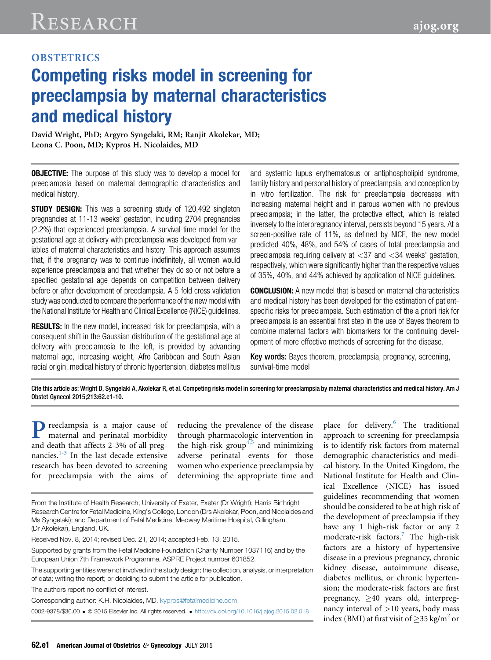# **Competing risks model in screening for** preeclampsia by maternal characteristics and medical history

David Wright, PhD; Argyro Syngelaki, RM; Ranjit Akolekar, MD; Leona C. Poon, MD; Kypros H. Nicolaides, MD

**OBJECTIVE:** The purpose of this study was to develop a model for preeclampsia based on maternal demographic characteristics and medical history.

**STUDY DESIGN:** This was a screening study of 120,492 singleton pregnancies at 11-13 weeks' gestation, including 2704 pregnancies (2.2%) that experienced preeclampsia. A survival-time model for the gestational age at delivery with preeclampsia was developed from variables of maternal characteristics and history. This approach assumes that, if the pregnancy was to continue indefinitely, all women would experience preeclampsia and that whether they do so or not before a specified gestational age depends on competition between delivery before or after development of preeclampsia. A 5-fold cross validation study was conducted to compare the performance of the new model with the National Institute for Health and Clinical Excellence (NICE) guidelines.

RESULTS: In the new model, increased risk for preeclampsia, with a consequent shift in the Gaussian distribution of the gestational age at delivery with preeclampsia to the left, is provided by advancing maternal age, increasing weight, Afro-Caribbean and South Asian racial origin, medical history of chronic hypertension, diabetes mellitus and systemic lupus erythematosus or antiphospholipid syndrome, family history and personal history of preeclampsia, and conception by in vitro fertilization. The risk for preeclampsia decreases with increasing maternal height and in parous women with no previous preeclampsia; in the latter, the protective effect, which is related inversely to the interpregnancy interval, persists beyond 15 years. At a screen-positive rate of 11%, as defined by NICE, the new model predicted 40%, 48%, and 54% of cases of total preeclampsia and preeclampsia requiring delivery at  $\langle 37 \rangle$  and  $\langle 34 \rangle$  weeks' gestation, respectively, which were significantly higher than the respective values of 35%, 40%, and 44% achieved by application of NICE guidelines.

CONCLUSION: A new model that is based on maternal characteristics and medical history has been developed for the estimation of patientspecific risks for preeclampsia. Such estimation of the a priori risk for preeclampsia is an essential first step in the use of Bayes theorem to combine maternal factors with biomarkers for the continuing development of more effective methods of screening for the disease.

Key words: Bayes theorem, preeclampsia, pregnancy, screening, survival-time model

Cite this article as: Wright D, Syngelaki A, Akolekar R, et al. Competing risks model in screening for preeclampsia by maternal characteristics and medical history. Am J Obstet Gynecol 2015;213:62.e1-10.

Preeclampsia is a major cause of maternal and perinatal morbidity and death that affects 2-3% of all pregnancies. $1-3$  In the last decade extensive research has been devoted to screening for preeclampsia with the aims of

reducing the prevalence of the disease through pharmacologic intervention in the high-risk group<sup> $4,5$ </sup> and minimizing adverse perinatal events for those women who experience preeclampsia by determining the appropriate time and

From the Institute of Health Research, University of Exeter, Exeter (Dr Wright); Harris Birthright Research Centre for Fetal Medicine, King's College, London (Drs Akolekar, Poon, and Nicolaides and Ms Syngelaki); and Department of Fetal Medicine, Medway Maritime Hospital, Gillingham (Dr Akolekar), England, UK.

Received Nov. 8, 2014; revised Dec. 21, 2014; accepted Feb. 13, 2015.

Supported by grants from the Fetal Medicine Foundation (Charity Number 1037116) and by the European Union 7th Framework Programme, ASPRE Project number 601852.

The supporting entities were not involved in the study design; the collection, analysis, or interpretation of data; writing the report; or deciding to submit the article for publication.

The authors report no conflict of interest.

Corresponding author: K.H. Nicolaides, MD. [kypros@fetalmedicine.com](mailto:kypros@fetalmedicine.com)

0002-9378/\$36.00 · © 2015 Elsevier Inc. All rights reserved. • <http://dx.doi.org/10.1016/j.ajog.2015.02.018>

place for delivery.<sup>[6](#page-8-0)</sup> The traditional approach to screening for preeclampsia is to identify risk factors from maternal demographic characteristics and medical history. In the United Kingdom, the National Institute for Health and Clinical Excellence (NICE) has issued guidelines recommending that women should be considered to be at high risk of the development of preeclampsia if they have any 1 high-risk factor or any 2 moderate-risk factors.<sup>[7](#page-8-0)</sup> The high-risk factors are a history of hypertensive disease in a previous pregnancy, chronic kidney disease, autoimmune disease, diabetes mellitus, or chronic hypertension; the moderate-risk factors are first pregnancy,  $\geq 40$  years old, interpregnancy interval of  $>10$  years, body mass index (BMI) at first visit of  $\geq$ 35 kg/m<sup>2</sup> or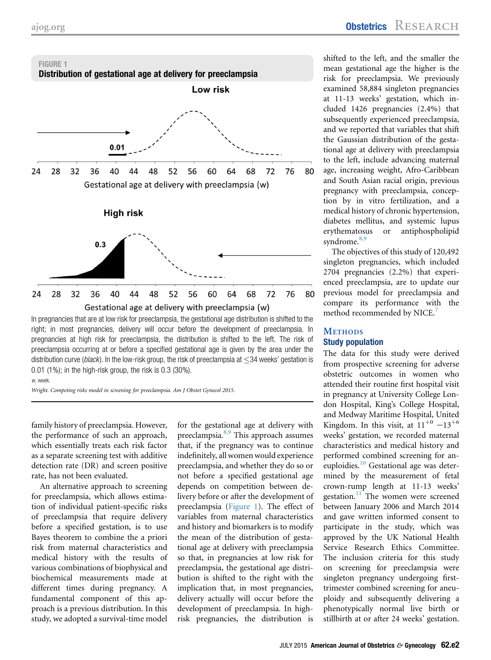

shifted to the left, and the smaller the mean gestational age the higher is the risk for preeclampsia. We previously examined 58,884 singleton pregnancies at 11-13 weeks' gestation, which included 1426 pregnancies (2.4%) that subsequently experienced preeclampsia, and we reported that variables that shift the Gaussian distribution of the gestational age at delivery with preeclampsia to the left, include advancing maternal age, increasing weight, Afro-Caribbean and South Asian racial origin, previous pregnancy with preeclampsia, conception by in vitro fertilization, and a medical history of chronic hypertension, diabetes mellitus, and systemic lupus erythematosus or antiphospholipid syndrome.<sup>[8,9](#page-8-0)</sup>

The objectives of this study of 120,492 singleton pregnancies, which included 2704 pregnancies (2.2%) that experienced preeclampsia, are to update our previous model for preeclampsia and compare its performance with the method recommended by NICE.<sup>[7](#page-8-0)</sup>

## **METHODS Study population**

The data for this study were derived from prospective screening for adverse obstetric outcomes in women who attended their routine first hospital visit in pregnancy at University College London Hospital, King's College Hospital, and Medway Maritime Hospital, United Kingdom. In this visit, at  $11^{+0}$  -13<sup>+6</sup> weeks' gestation, we recorded maternal characteristics and medical history and performed combined screening for an-euploidies.<sup>[10](#page-8-0)</sup> Gestational age was determined by the measurement of fetal crown-rump length at 11-13 weeks' gestation. $\frac{11}{11}$  $\frac{11}{11}$  $\frac{11}{11}$  The women were screened between January 2006 and March 2014 and gave written informed consent to participate in the study, which was approved by the UK National Health Service Research Ethics Committee. The inclusion criteria for this study on screening for preeclampsia were singleton pregnancy undergoing firsttrimester combined screening for aneuploidy and subsequently delivering a phenotypically normal live birth or stillbirth at or after 24 weeks' gestation.

In pregnancies that are at low risk for preeclampsia, the gestational age distribution is shifted to the right; in most pregnancies, delivery will occur before the development of preeclampsia. In pregnancies at high risk for preeclampsia, the distribution is shifted to the left. The risk of preeclampsia occurring at or before a specified gestational age is given by the area under the distribution curve (*black*). In the low-risk group, the risk of preeclampsia at  $\leq$ 34 weeks' gestation is 0.01 (1%); in the high-risk group, the risk is 0.3 (30%).

w, week

Wright. Competing risks model in screening for preeclampsia. Am J Obstet Gynecol 2015.

family history of preeclampsia. However, the performance of such an approach, which essentially treats each risk factor as a separate screening test with additive detection rate (DR) and screen positive rate, has not been evaluated.

An alternative approach to screening for preeclampsia, which allows estimation of individual patient-specific risks of preeclampsia that require delivery before a specified gestation, is to use Bayes theorem to combine the a priori risk from maternal characteristics and medical history with the results of various combinations of biophysical and biochemical measurements made at different times during pregnancy. A fundamental component of this approach is a previous distribution. In this study, we adopted a survival-time model for the gestational age at delivery with preeclampsia.<sup>[8,9](#page-8-0)</sup> This approach assumes that, if the pregnancy was to continue indefinitely, all women would experience preeclampsia, and whether they do so or not before a specified gestational age depends on competition between delivery before or after the development of preeclampsia (Figure 1). The effect of variables from maternal characteristics and history and biomarkers is to modify the mean of the distribution of gestational age at delivery with preeclampsia so that, in pregnancies at low risk for preeclampsia, the gestational age distribution is shifted to the right with the implication that, in most pregnancies, delivery actually will occur before the development of preeclampsia. In highrisk pregnancies, the distribution is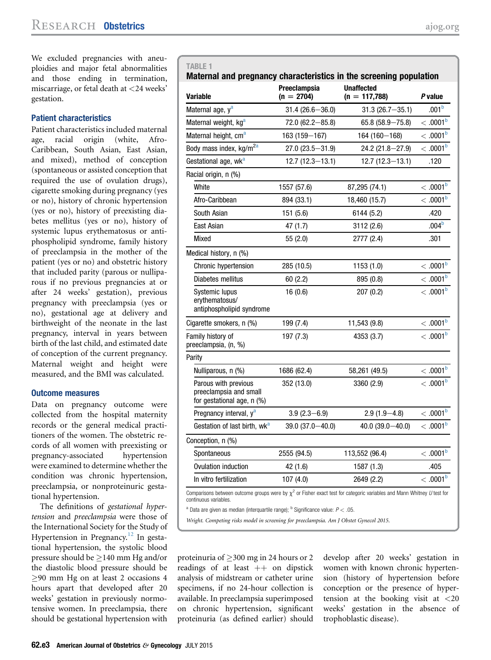<span id="page-2-0"></span>We excluded pregnancies with aneuploidies and major fetal abnormalities and those ending in termination, miscarriage, or fetal death at <24 weeks' gestation.

#### Patient characteristics

Patient characteristics included maternal age, racial origin (white, Afro-Caribbean, South Asian, East Asian, and mixed), method of conception (spontaneous or assisted conception that required the use of ovulation drugs), cigarette smoking during pregnancy (yes or no), history of chronic hypertension (yes or no), history of preexisting diabetes mellitus (yes or no), history of systemic lupus erythematosus or antiphospholipid syndrome, family history of preeclampsia in the mother of the patient (yes or no) and obstetric history that included parity (parous or nulliparous if no previous pregnancies at or after 24 weeks' gestation), previous pregnancy with preeclampsia (yes or no), gestational age at delivery and birthweight of the neonate in the last pregnancy, interval in years between birth of the last child, and estimated date of conception of the current pregnancy. Maternal weight and height were measured, and the BMI was calculated.

#### Outcome measures

Data on pregnancy outcome were collected from the hospital maternity records or the general medical practitioners of the women. The obstetric records of all women with preexisting or pregnancy-associated hypertension were examined to determine whether the condition was chronic hypertension, preeclampsia, or nonproteinuric gestational hypertension.

The definitions of gestational hypertension and preeclampsia were those of the International Society for the Study of Hypertension in Pregnancy.<sup>[12](#page-8-0)</sup> In gestational hypertension, the systolic blood pressure should be  $\geq$  140 mm Hg and/or the diastolic blood pressure should be  $\geq$ 90 mm Hg on at least 2 occasions 4 hours apart that developed after 20 weeks' gestation in previously normotensive women. In preeclampsia, there should be gestational hypertension with

| <b>Variable</b>                                                              | Preeclampsia<br>$(n = 2704)$ | <b>Unaffected</b><br>$(n = 117,788)$ | P value                |
|------------------------------------------------------------------------------|------------------------------|--------------------------------------|------------------------|
| Maternal age, y <sup>a</sup>                                                 | $31.4(26.6 - 36.0)$          | $31.3(26.7 - 35.1)$                  | .001 <sup>b</sup>      |
| Maternal weight, kg <sup>a</sup>                                             | $72.0(62.2 - 85.8)$          | $65.8(58.9 - 75.8)$                  | <.0001 <sup>b</sup>    |
| Maternal height, cm <sup>a</sup>                                             | 163 (159-167)                | 164 (160-168)                        | <.0001 <sup>b</sup>    |
| Body mass index, kg/m <sup>2a</sup>                                          | $27.0(23.5 - 31.9)$          | $24.2(21.8 - 27.9)$                  | $< .0001$ <sub>b</sub> |
| Gestational age, wk <sup>a</sup>                                             | $12.7(12.3 - 13.1)$          | $12.7(12.3 - 13.1)$                  | .120                   |
| Racial origin, n (%)                                                         |                              |                                      |                        |
| White                                                                        | 1557 (57.6)                  | 87,295 (74.1)                        | <.0001 <sup>b</sup>    |
| Afro-Caribbean                                                               | 894 (33.1)                   | 18,460 (15.7)                        | $< .0001$ <sup>b</sup> |
| South Asian                                                                  | 151 (5.6)                    | 6144 (5.2)                           | .420                   |
| East Asian                                                                   | 47(1.7)                      | 3112 (2.6)                           | .004 <sup>b</sup>      |
| Mixed                                                                        | 55 (2.0)                     | 2777 (2.4)                           | .301                   |
| Medical history, n (%)                                                       |                              |                                      |                        |
| Chronic hypertension                                                         | 285 (10.5)                   | 1153(1.0)                            | <.0001 <sup>b</sup>    |
| Diabetes mellitus                                                            | 60(2.2)                      | 895 (0.8)                            | <.0001 <sup>b</sup>    |
| Systemic lupus<br>erythematosus/<br>antiphospholipid syndrome                | 16(0.6)                      | 207(0.2)                             | <.0001 <sup>b</sup>    |
| Cigarette smokers, n (%)                                                     | 199 (7.4)                    | 11,543 (9.8)                         | <.0001 <sup>b</sup>    |
| Family history of<br>preeclampsia, (n, %)                                    | 197 (7.3)                    | 4353 (3.7)                           | <.0001 <sup>b</sup>    |
| Parity                                                                       |                              |                                      |                        |
| Nulliparous, n (%)                                                           | 1686 (62.4)                  | 58,261 (49.5)                        | <.0001 <sup>b</sup>    |
| Parous with previous<br>preeclampsia and small<br>for gestational age, n (%) | 352 (13.0)                   | 3360 (2.9)                           | <.0001 <sup>b</sup>    |
| Pregnancy interval, y <sup>a</sup>                                           | $3.9(2.3 - 6.9)$             | $2.9(1.9 - 4.8)$                     | <.0001 <sup>b</sup>    |
| Gestation of last birth, wk <sup>a</sup>                                     | 39.0 (37.0-40.0)             | 40.0 (39.0 $-40.0$ )                 | <.0001 <sup>b</sup>    |
| Conception, n (%)                                                            |                              |                                      |                        |
| Spontaneous                                                                  | 2555 (94.5)                  | 113,552 (96.4)                       | <.0001 <sup>b</sup>    |
| Ovulation induction                                                          | 42 (1.6)                     | 1587 (1.3)                           | .405                   |
| In vitro fertilization                                                       | 107(4.0)                     | 2649 (2.2)                           | <.0001 <sup>b</sup>    |

 $^a$  Data are given as median (interquartile range);  $^b$  Significance value:  $P < .05$ .

Wright. Competing risks model in screening for preeclampsia. Am J Obstet Gynecol 2015.

proteinuria of  $\geq$  300 mg in 24 hours or 2 readings of at least  $++$  on dipstick analysis of midstream or catheter urine specimens, if no 24-hour collection is available. In preeclampsia superimposed on chronic hypertension, significant proteinuria (as defined earlier) should

develop after 20 weeks' gestation in women with known chronic hypertension (history of hypertension before conception or the presence of hypertension at the booking visit at  $\langle 20 \rangle$ weeks' gestation in the absence of trophoblastic disease).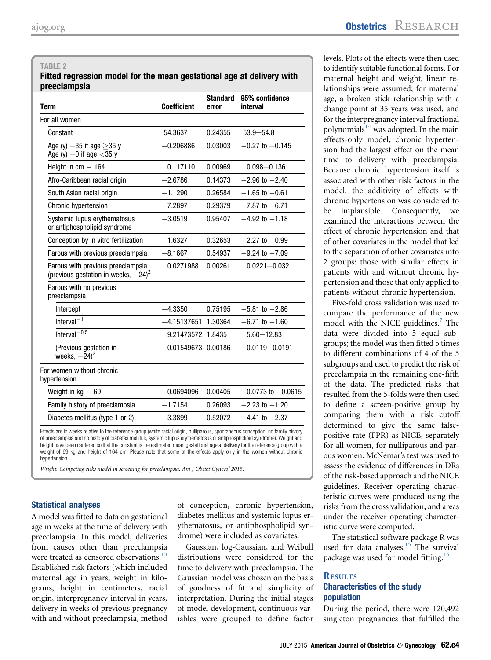#### <span id="page-3-0"></span>TABI F 2

#### Fitted regression model for the mean gestational age at delivery with preeclampsia

| <b>Term</b>                                                                                                                      | <b>Coefficient</b> | <b>Standard</b><br>error | 95% confidence<br>interval |
|----------------------------------------------------------------------------------------------------------------------------------|--------------------|--------------------------|----------------------------|
| For all women                                                                                                                    |                    |                          |                            |
| Constant                                                                                                                         | 54.3637            | 0.24355                  | $53.9 - 54.8$              |
| Age (y) $-35$ if age $>35$ y<br>Age (y) $-0$ if age $<$ 35 y                                                                     | $-0.206886$        | 0.03003                  | $-0.27$ to $-0.145$        |
| Height in $cm - 164$                                                                                                             | 0.117110           | 0.00969                  | $0.098 - 0.136$            |
| Afro-Caribbean racial origin                                                                                                     | $-2.6786$          | 0.14373                  | $-2.96$ to $-2.40$         |
| South Asian racial origin                                                                                                        | $-1.1290$          | 0.26584                  | $-1.65$ to $-0.61$         |
| Chronic hypertension                                                                                                             | $-7.2897$          | 0.29379                  | $-7.87$ to $-6.71$         |
| Systemic lupus erythematosus<br>or antiphospholipid syndrome                                                                     | $-3.0519$          | 0.95407                  | $-4.92$ to $-1.18$         |
| Conception by in vitro fertilization                                                                                             | $-1.6327$          | 0.32653                  | $-2.27$ to $-0.99$         |
| Parous with previous preeclampsia                                                                                                | $-8.1667$          | 0.54937                  | $-9.24$ to $-7.09$         |
| Parous with previous preeclampsia<br>(previous gestation in weeks, $-24$ ) <sup>2</sup>                                          | 0.0271988          | 0.00261                  | $0.0221 - 0.032$           |
| Parous with no previous<br>preeclampsia                                                                                          |                    |                          |                            |
| Intercept                                                                                                                        | $-4.3350$          | 0.75195                  | $-5.81$ to $-2.86$         |
| Interval <sup><math>-1</math></sup>                                                                                              | $-4.15137651$      | 1.30364                  | $-6.71$ to $-1.60$         |
| Interval $^{-0.5}$                                                                                                               | 9.21473572 1.8435  |                          | $5.60 - 12.83$             |
| (Previous gestation in<br>weeks, $-24$ <sup>2</sup>                                                                              | 0.01549673 0.00186 |                          | $0.0119 - 0.0191$          |
| For women without chronic<br>hypertension                                                                                        |                    |                          |                            |
| Weight in $kq - 69$                                                                                                              | $-0.0694096$       | 0.00405                  | $-0.0773$ to $-0.0615$     |
| Family history of preeclampsia                                                                                                   | $-1.7154$          | 0.26093                  | $-2.23$ to $-1.20$         |
| Diabetes mellitus (type 1 or 2)                                                                                                  | $-3.3899$          | 0.52072                  | $-4.41$ to $-2.37$         |
| Effects are in weeks relative to the reference group (white racial origin pulliparous, spontaneous conception, no family history |                    |                          |                            |

Effects are in weeks relative to the reference group (white racial origin, nulliparous, spontaneous conception, no family history<br>of preeclampsia and no history of diabetes mellitus, systemic lupus erythematosus or antipho height have been centered so that the constant is the estimated mean gestational age at delivery for the reference group with a weight of 69 kg and height of 164 cm. Please note that some of the effects apply only in the women without chronic hypertension.

Wright. Competing risks model in screening for preeclampsia. Am J Obstet Gynecol 2015.

#### Statistical analyses

A model was fitted to data on gestational age in weeks at the time of delivery with preeclampsia. In this model, deliveries from causes other than preeclampsia were treated as censored observations.<sup>[13](#page-9-0)</sup> Established risk factors (which included maternal age in years, weight in kilograms, height in centimeters, racial origin, interpregnancy interval in years, delivery in weeks of previous pregnancy with and without preeclampsia, method

of conception, chronic hypertension, diabetes mellitus and systemic lupus erythematosus, or antiphospholipid syndrome) were included as covariates.

Gaussian, log-Gaussian, and Weibull distributions were considered for the time to delivery with preeclampsia. The Gaussian model was chosen on the basis of goodness of fit and simplicity of interpretation. During the initial stages of model development, continuous variables were grouped to define factor

levels. Plots of the effects were then used to identify suitable functional forms. For maternal height and weight, linear relationships were assumed; for maternal age, a broken stick relationship with a change point at 35 years was used, and for the interpregnancy interval fractional polynomials $^{14}$  $^{14}$  $^{14}$  was adopted. In the main effects-only model, chronic hypertension had the largest effect on the mean time to delivery with preeclampsia. Because chronic hypertension itself is associated with other risk factors in the model, the additivity of effects with chronic hypertension was considered to be implausible. Consequently, we examined the interactions between the effect of chronic hypertension and that of other covariates in the model that led to the separation of other covariates into 2 groups: those with similar effects in patients with and without chronic hypertension and those that only applied to patients without chronic hypertension.

Five-fold cross validation was used to compare the performance of the new model with the NICE guidelines.<sup>[7](#page-8-0)</sup> The data were divided into 5 equal subgroups; the model was then fitted 5 times to different combinations of 4 of the 5 subgroups and used to predict the risk of preeclampsia in the remaining one-fifth of the data. The predicted risks that resulted from the 5-folds were then used to define a screen-positive group by comparing them with a risk cutoff determined to give the same falsepositive rate (FPR) as NICE, separately for all women, for nulliparous and parous women. McNemar's test was used to assess the evidence of differences in DRs of the risk-based approach and the NICE guidelines. Receiver operating characteristic curves were produced using the risks from the cross validation, and areas under the receiver operating characteristic curve were computed.

The statistical software package R was used for data analyses. $15$  The survival package was used for model fitting.<sup>[16](#page-9-0)</sup>

# **Characteristics of the study** population

During the period, there were 120,492 singleton pregnancies that fulfilled the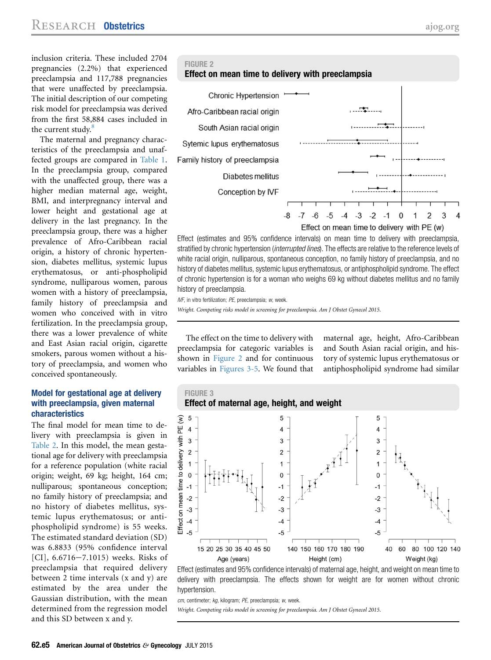inclusion criteria. These included 2704 pregnancies (2.2%) that experienced preeclampsia and 117,788 pregnancies that were unaffected by preeclampsia. The initial description of our competing risk model for preeclampsia was derived from the first 58,884 cases included in the current study. $8$ 

The maternal and pregnancy characteristics of the preeclampsia and unaffected groups are compared in [Table 1.](#page-2-0) In the preeclampsia group, compared with the unaffected group, there was a higher median maternal age, weight, BMI, and interpregnancy interval and lower height and gestational age at delivery in the last pregnancy. In the preeclampsia group, there was a higher prevalence of Afro-Caribbean racial origin, a history of chronic hypertension, diabetes mellitus, systemic lupus erythematosus, or anti-phospholipid syndrome, nulliparous women, parous women with a history of preeclampsia, family history of preeclampsia and women who conceived with in vitro fertilization. In the preeclampsia group, there was a lower prevalence of white and East Asian racial origin, cigarette smokers, parous women without a history of preeclampsia, and women who conceived spontaneously.

#### Model for gestational age at delivery with preeclampsia, given maternal characteristics

The final model for mean time to delivery with preeclampsia is given in [Table 2.](#page-3-0) In this model, the mean gestational age for delivery with preeclampsia for a reference population (white racial origin; weight, 69 kg; height, 164 cm; nulliparous; spontaneous conception; no family history of preeclampsia; and no history of diabetes mellitus, systemic lupus erythematosus; or antiphospholipid syndrome) is 55 weeks. The estimated standard deviation (SD) was 6.8833 (95% confidence interval [CI],  $6.6716 - 7.1015$ ) weeks. Risks of preeclampsia that required delivery between 2 time intervals (x and y) are estimated by the area under the Gaussian distribution, with the mean determined from the regression model and this SD between x and y.







Effect (estimates and 95% confidence intervals) on mean time to delivery with preeclampsia, stratified by chronic hypertension (*interrupted lines*). The effects are relative to the reference levels of white racial origin, nulliparous, spontaneous conception, no family history of preeclampsia, and no history of diabetes mellitus, systemic lupus erythematosus, or antiphospholipid syndrome. The effect of chronic hypertension is for a woman who weighs 69 kg without diabetes mellitus and no family history of preeclampsia.

IVF, in vitro fertilization; PE, preeclampsia; w, week. Wright. Competing risks model in screening for preeclampsia. Am J Obstet Gynecol 2015.

The effect on the time to delivery with preeclampsia for categoric variables is shown in Figure 2 and for continuous variables in Figures 3-5. We found that

maternal age, height, Afro-Caribbean and South Asian racial origin, and history of systemic lupus erythematosus or antiphospholipid syndrome had similar



Effect (estimates and 95% confidence intervals) of maternal age, height, and weight on mean time to delivery with preeclampsia. The effects shown for weight are for women without chronic hypertension.

cm, centimeter; kg, kilogram; PE, preeclampsia; w, week.

Wright. Competing risks model in screening for preeclampsia. Am J Obstet Gynecol 2015.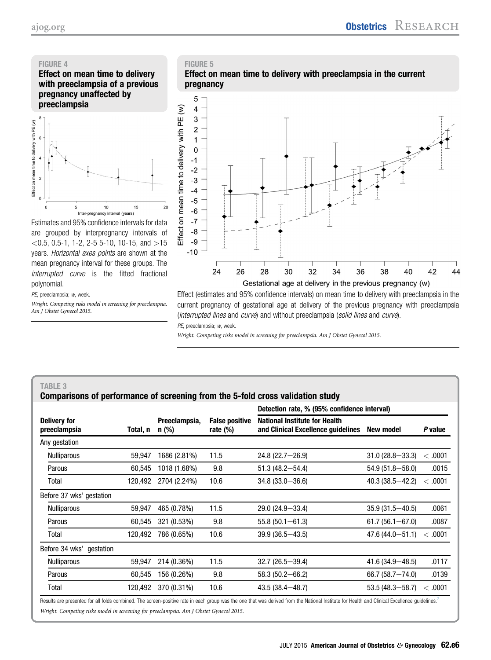## <span id="page-5-0"></span>FIGURE 4

Effect on mean time to delivery with preeclampsia of a previous pregnancy unaffected by preeclampsia



Estimates and 95% confidence intervals for data are grouped by interpregnancy intervals of  $<$  0.5, 0.5-1, 1-2, 2-5 5-10, 10-15, and  $>$ 15 years. Horizontal axes points are shown at the mean pregnancy interval for these groups. The interrupted curve is the fitted fractional polynomial.

PE, preeclampsia; w, week.

Wright. Competing risks model in screening for preeclampsia. Am J Obstet Gynecol 2015.



Effect (estimates and 95% confidence intervals) on mean time to delivery with preeclampsia in the current pregnancy of gestational age at delivery of the previous pregnancy with preeclampsia (*interrupted lines* and *curve*) and without preeclampsia (*solid lines* and *curve*).

PE, preeclampsia; w, week.

Wright. Competing risks model in screening for preeclampsia. Am J Obstet Gynecol 2015.

# TABLE 3 Comparisons of performance of screening from the 5-fold cross validation study

|                                     |          | Preeclampsia,<br>n (%) | <b>False positive</b><br>rate $(\%)$ | Detection rate, % (95% confidence interval)                                |                     |                  |
|-------------------------------------|----------|------------------------|--------------------------------------|----------------------------------------------------------------------------|---------------------|------------------|
| <b>Delivery for</b><br>preeclampsia | Total, n |                        |                                      | <b>National Institute for Health</b><br>and Clinical Excellence guidelines | New model           | P value          |
| Any gestation                       |          |                        |                                      |                                                                            |                     |                  |
| <b>Nulliparous</b>                  | 59.947   | 1686 (2.81%)           | 11.5                                 | $24.8(22.7 - 26.9)$                                                        | $31.0(28.8 - 33.3)$ | <.0001           |
| Parous                              | 60.545   | 1018 (1.68%)           | 9.8                                  | $51.3(48.2 - 54.4)$                                                        | $54.9(51.8 - 58.0)$ | .0015            |
| Total                               | 120,492  | 2704 (2.24%)           | 10.6                                 | $34.8(33.0 - 36.6)$                                                        | $40.3(38.5 - 42.2)$ | <.0001           |
| Before 37 wks' gestation            |          |                        |                                      |                                                                            |                     |                  |
| <b>Nulliparous</b>                  | 59.947   | 465 (0.78%)            | 11.5                                 | 29.0 (24.9-33.4)                                                           | $35.9(31.5 - 40.5)$ | .0061            |
| Parous                              | 60.545   | 321 (0.53%)            | 9.8                                  | $55.8(50.1 - 61.3)$                                                        | $61.7(56.1 - 67.0)$ | .0087            |
| Total                               | 120,492  | 786 (0.65%)            | 10.6                                 | $39.9(36.5 - 43.5)$                                                        | $47.6(44.0 - 51.1)$ | .0001<br>$\,<\,$ |
| Before 34 wks'<br>gestation         |          |                        |                                      |                                                                            |                     |                  |
| <b>Nulliparous</b>                  | 59,947   | 214 (0.36%)            | 11.5                                 | $32.7(26.5 - 39.4)$                                                        | $41.6(34.9 - 48.5)$ | .0117            |
| Parous                              | 60.545   | 156 (0.26%)            | 9.8                                  | $58.3(50.2 - 66.2)$                                                        | $66.7(58.7 - 74.0)$ | .0139            |
| Total                               | 120,492  | 370 (0.31%)            | 10.6                                 | $43.5(38.4 - 48.7)$                                                        | $53.5(48.3 - 58.7)$ | <.0001           |

Results are presented for all folds combined. The screen-positive rate in each group was the one that was derived from the National Institute for Health and Clinical Excellence guidelines.<sup>[7](#page-8-0)</sup> Wright. Competing risks model in screening for preeclampsia. Am J Obstet Gynecol 2015.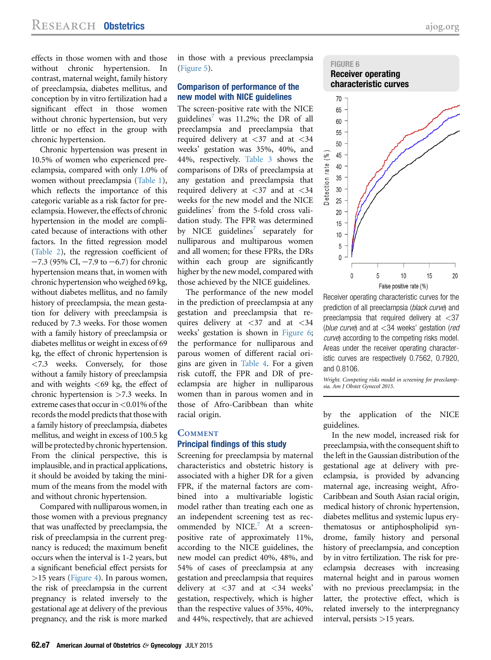effects in those women with and those without chronic hypertension. In contrast, maternal weight, family history of preeclampsia, diabetes mellitus, and conception by in vitro fertilization had a significant effect in those women without chronic hypertension, but very little or no effect in the group with chronic hypertension.

Chronic hypertension was present in 10.5% of women who experienced preeclampsia, compared with only 1.0% of women without preeclampsia [\(Table 1](#page-2-0)), which reflects the importance of this categoric variable as a risk factor for preeclampsia. However, the effects of chronic hypertension in the model are complicated because of interactions with other factors. In the fitted regression model [\(Table 2\)](#page-3-0), the regression coefficient of  $-7.3$  (95% CI,  $-7.9$  to  $-6.7$ ) for chronic hypertension means that, in women with chronic hypertension who weighed 69 kg, without diabetes mellitus, and no family history of preeclampsia, the mean gestation for delivery with preeclampsia is reduced by 7.3 weeks. For those women with a family history of preeclampsia or diabetes mellitus or weight in excess of 69 kg, the effect of chronic hypertension is <7.3 weeks. Conversely, for those without a family history of preeclampsia and with weights  $<$  69 kg, the effect of chronic hypertension is >7.3 weeks. In extreme cases that occur in <0.01% of the records the model predicts that those with a family history of preeclampsia, diabetes mellitus, and weight in excess of 100.5 kg will be protected by chronic hypertension. From the clinical perspective, this is implausible, and in practical applications, it should be avoided by taking the minimum of the means from the model with and without chronic hypertension.

Compared with nulliparous women, in those women with a previous pregnancy that was unaffected by preeclampsia, the risk of preeclampsia in the current pregnancy is reduced; the maximum benefit occurs when the interval is 1-2 years, but a significant beneficial effect persists for >15 years ([Figure 4](#page-5-0)). In parous women, the risk of preeclampsia in the current pregnancy is related inversely to the gestational age at delivery of the previous pregnancy, and the risk is more marked

in those with a previous preeclampsia ([Figure 5\)](#page-5-0).

#### Comparison of performance of the new model with NICE guidelines

The screen-positive rate with the NICE guidelines<sup>7</sup> was 11.2%; the DR of all preeclampsia and preeclampsia that required delivery at <37 and at <34 weeks' gestation was 35%, 40%, and 44%, respectively. [Table 3](#page-5-0) shows the comparisons of DRs of preeclampsia at any gestation and preeclampsia that required delivery at  $\langle 37 \rangle$  and at  $\langle 34 \rangle$ weeks for the new model and the NICE guidelines<sup>7</sup> from the 5-fold cross validation study. The FPR was determined by NICE guidelines $^{\prime}$  separately for nulliparous and multiparous women and all women; for these FPRs, the DRs within each group are significantly higher by the new model, compared with those achieved by the NICE guidelines.

The performance of the new model in the prediction of preeclampsia at any gestation and preeclampsia that requires delivery at  $\langle 37 \rangle$  and at  $\langle 34 \rangle$ weeks' gestation is shown in Figure 6; the performance for nulliparous and parous women of different racial origins are given in [Table 4](#page-7-0). For a given risk cutoff, the FPR and DR of preeclampsia are higher in nulliparous women than in parous women and in those of Afro-Caribbean than white racial origin.

# **COMMENT Principal findings of this study**

Screening for preeclampsia by maternal characteristics and obstetric history is associated with a higher DR for a given FPR, if the maternal factors are combined into a multivariable logistic model rather than treating each one as an independent screening test as rec-ommended by NICE.<sup>[7](#page-8-0)</sup> At a screenpositive rate of approximately 11%, according to the NICE guidelines, the new model can predict 40%, 48%, and 54% of cases of preeclampsia at any gestation and preeclampsia that requires delivery at <37 and at <34 weeks' gestation, respectively, which is higher than the respective values of 35%, 40%, and 44%, respectively, that are achieved



Receiver operating characteristic curves for the prediction of all preeclampsia (black curve) and preeclampsia that required delivery at <37 (blue curve) and at  $<$ 34 weeks' gestation (red curve) according to the competing risks model. Areas under the receiver operating characteristic curves are respectively 0.7562, 0.7920, and 0.8106.

Wright. Competing risks model in screening for preeclampsia. Am J Obstet Gynecol 2015.

by the application of the NICE guidelines.

In the new model, increased risk for preeclampsia, with the consequent shift to the left in the Gaussian distribution of the gestational age at delivery with preeclampsia, is provided by advancing maternal age, increasing weight, Afro-Caribbean and South Asian racial origin, medical history of chronic hypertension, diabetes mellitus and systemic lupus erythematosus or antiphospholipid syndrome, family history and personal history of preeclampsia, and conception by in vitro fertilization. The risk for preeclampsia decreases with increasing maternal height and in parous women with no previous preeclampsia; in the latter, the protective effect, which is related inversely to the interpregnancy interval, persists >15 years.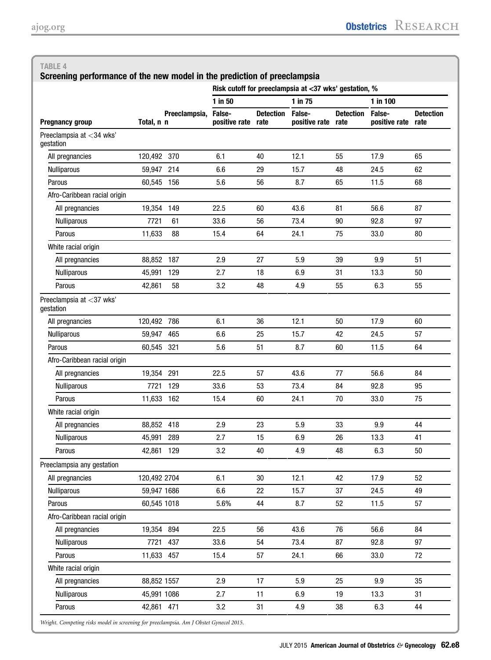Detection rate

<span id="page-7-0"></span>

| 1 in 75<br>$1$ in 50<br>$1$ in $100$<br>False-<br>Preeclampsia, False-<br><b>Detection</b><br>False-<br><b>Detection</b><br>positive rate<br><b>Pregnancy group</b><br>Total, n n<br>rate<br>positive rate<br>positive rate<br>rate<br>Preeclampsia at <34 wks'<br>gestation<br>120,492<br>370<br>6.1<br>12.1<br>17.9<br>All pregnancies<br>40<br>55<br>214<br>6.6<br>29<br>24.5<br><b>Nulliparous</b><br>59.947<br>15.7<br>48<br>11.5<br>Parous<br>60,545<br>156<br>5.6<br>56<br>8.7<br>65<br>Afro-Caribbean racial origin<br>22.5<br>56.6<br>All pregnancies<br>19,354<br>149<br>60<br>43.6<br>81<br>7721<br>33.6<br>56<br>73.4<br>90<br>92.8<br><b>Nulliparous</b><br>61<br>Parous<br>88<br>15.4<br>64<br>24.1<br>33.0<br>11,633<br>75<br>White racial origin<br>All pregnancies<br>88,852<br>187<br>2.9<br>27<br>5.9<br>39<br>9.9<br>129<br>2.7<br>18<br>13.3<br><b>Nulliparous</b><br>45.991<br>6.9<br>31<br>Parous<br>58<br>3.2<br>48<br>4.9<br>6.3<br>42,861<br>55<br>Preeclampsia at <37 wks'<br>qestation<br>All pregnancies<br>120,492<br>786<br>6.1<br>12.1<br>17.9<br>36<br>50<br>465<br><b>Nulliparous</b><br>59,947<br>6.6<br>25<br>15.7<br>42<br>24.5<br>Parous<br>321<br>5.6<br>51<br>8.7<br>11.5<br>60,545<br>60<br>Afro-Caribbean racial origin | Do<br>ra<br>65<br>62<br>68 |
|-------------------------------------------------------------------------------------------------------------------------------------------------------------------------------------------------------------------------------------------------------------------------------------------------------------------------------------------------------------------------------------------------------------------------------------------------------------------------------------------------------------------------------------------------------------------------------------------------------------------------------------------------------------------------------------------------------------------------------------------------------------------------------------------------------------------------------------------------------------------------------------------------------------------------------------------------------------------------------------------------------------------------------------------------------------------------------------------------------------------------------------------------------------------------------------------------------------------------------------------------------------------|----------------------------|
|                                                                                                                                                                                                                                                                                                                                                                                                                                                                                                                                                                                                                                                                                                                                                                                                                                                                                                                                                                                                                                                                                                                                                                                                                                                                   |                            |
|                                                                                                                                                                                                                                                                                                                                                                                                                                                                                                                                                                                                                                                                                                                                                                                                                                                                                                                                                                                                                                                                                                                                                                                                                                                                   |                            |
|                                                                                                                                                                                                                                                                                                                                                                                                                                                                                                                                                                                                                                                                                                                                                                                                                                                                                                                                                                                                                                                                                                                                                                                                                                                                   |                            |
|                                                                                                                                                                                                                                                                                                                                                                                                                                                                                                                                                                                                                                                                                                                                                                                                                                                                                                                                                                                                                                                                                                                                                                                                                                                                   |                            |
|                                                                                                                                                                                                                                                                                                                                                                                                                                                                                                                                                                                                                                                                                                                                                                                                                                                                                                                                                                                                                                                                                                                                                                                                                                                                   |                            |
|                                                                                                                                                                                                                                                                                                                                                                                                                                                                                                                                                                                                                                                                                                                                                                                                                                                                                                                                                                                                                                                                                                                                                                                                                                                                   |                            |
|                                                                                                                                                                                                                                                                                                                                                                                                                                                                                                                                                                                                                                                                                                                                                                                                                                                                                                                                                                                                                                                                                                                                                                                                                                                                   |                            |
|                                                                                                                                                                                                                                                                                                                                                                                                                                                                                                                                                                                                                                                                                                                                                                                                                                                                                                                                                                                                                                                                                                                                                                                                                                                                   | 87                         |
|                                                                                                                                                                                                                                                                                                                                                                                                                                                                                                                                                                                                                                                                                                                                                                                                                                                                                                                                                                                                                                                                                                                                                                                                                                                                   | 97                         |
|                                                                                                                                                                                                                                                                                                                                                                                                                                                                                                                                                                                                                                                                                                                                                                                                                                                                                                                                                                                                                                                                                                                                                                                                                                                                   | 80                         |
|                                                                                                                                                                                                                                                                                                                                                                                                                                                                                                                                                                                                                                                                                                                                                                                                                                                                                                                                                                                                                                                                                                                                                                                                                                                                   |                            |
|                                                                                                                                                                                                                                                                                                                                                                                                                                                                                                                                                                                                                                                                                                                                                                                                                                                                                                                                                                                                                                                                                                                                                                                                                                                                   | 51                         |
|                                                                                                                                                                                                                                                                                                                                                                                                                                                                                                                                                                                                                                                                                                                                                                                                                                                                                                                                                                                                                                                                                                                                                                                                                                                                   | 50                         |
|                                                                                                                                                                                                                                                                                                                                                                                                                                                                                                                                                                                                                                                                                                                                                                                                                                                                                                                                                                                                                                                                                                                                                                                                                                                                   | 55                         |
|                                                                                                                                                                                                                                                                                                                                                                                                                                                                                                                                                                                                                                                                                                                                                                                                                                                                                                                                                                                                                                                                                                                                                                                                                                                                   |                            |
|                                                                                                                                                                                                                                                                                                                                                                                                                                                                                                                                                                                                                                                                                                                                                                                                                                                                                                                                                                                                                                                                                                                                                                                                                                                                   | 60                         |
|                                                                                                                                                                                                                                                                                                                                                                                                                                                                                                                                                                                                                                                                                                                                                                                                                                                                                                                                                                                                                                                                                                                                                                                                                                                                   | 57                         |
|                                                                                                                                                                                                                                                                                                                                                                                                                                                                                                                                                                                                                                                                                                                                                                                                                                                                                                                                                                                                                                                                                                                                                                                                                                                                   | 64                         |
|                                                                                                                                                                                                                                                                                                                                                                                                                                                                                                                                                                                                                                                                                                                                                                                                                                                                                                                                                                                                                                                                                                                                                                                                                                                                   |                            |
| All pregnancies<br>19,354<br>291<br>22.5<br>57<br>43.6<br>77<br>56.6                                                                                                                                                                                                                                                                                                                                                                                                                                                                                                                                                                                                                                                                                                                                                                                                                                                                                                                                                                                                                                                                                                                                                                                              | 84                         |
| 7721<br>129<br>33.6<br>53<br>73.4<br>92.8<br>84<br><b>Nulliparous</b>                                                                                                                                                                                                                                                                                                                                                                                                                                                                                                                                                                                                                                                                                                                                                                                                                                                                                                                                                                                                                                                                                                                                                                                             | 95                         |
| 11,633<br>162<br>15.4<br>60<br>24.1<br>70<br>33.0<br>Parous                                                                                                                                                                                                                                                                                                                                                                                                                                                                                                                                                                                                                                                                                                                                                                                                                                                                                                                                                                                                                                                                                                                                                                                                       | 75                         |
| White racial origin                                                                                                                                                                                                                                                                                                                                                                                                                                                                                                                                                                                                                                                                                                                                                                                                                                                                                                                                                                                                                                                                                                                                                                                                                                               |                            |
| All pregnancies<br>88,852<br>418<br>2.9<br>23<br>5.9<br>33<br>9.9                                                                                                                                                                                                                                                                                                                                                                                                                                                                                                                                                                                                                                                                                                                                                                                                                                                                                                                                                                                                                                                                                                                                                                                                 | 44                         |
| 45,991<br>26<br>Nulliparous<br>289<br>2.7<br>15<br>6.9<br>13.3                                                                                                                                                                                                                                                                                                                                                                                                                                                                                                                                                                                                                                                                                                                                                                                                                                                                                                                                                                                                                                                                                                                                                                                                    | 41                         |
| 3.2<br>6.3<br>42,861 129<br>40<br>4.9<br>48<br>Parous                                                                                                                                                                                                                                                                                                                                                                                                                                                                                                                                                                                                                                                                                                                                                                                                                                                                                                                                                                                                                                                                                                                                                                                                             | 50                         |
| Preeclampsia any gestation                                                                                                                                                                                                                                                                                                                                                                                                                                                                                                                                                                                                                                                                                                                                                                                                                                                                                                                                                                                                                                                                                                                                                                                                                                        |                            |
| 120,492 2704<br>6.1<br>30<br>12.1<br>42<br>17.9<br>All pregnancies                                                                                                                                                                                                                                                                                                                                                                                                                                                                                                                                                                                                                                                                                                                                                                                                                                                                                                                                                                                                                                                                                                                                                                                                | 52                         |
| Nulliparous<br>59,947 1686<br>6.6<br>22<br>15.7<br>37<br>24.5                                                                                                                                                                                                                                                                                                                                                                                                                                                                                                                                                                                                                                                                                                                                                                                                                                                                                                                                                                                                                                                                                                                                                                                                     | 49                         |
| 60,545 1018<br>5.6%<br>11.5<br>Parous<br>44<br>8.7<br>52                                                                                                                                                                                                                                                                                                                                                                                                                                                                                                                                                                                                                                                                                                                                                                                                                                                                                                                                                                                                                                                                                                                                                                                                          | 57                         |
| Afro-Caribbean racial origin                                                                                                                                                                                                                                                                                                                                                                                                                                                                                                                                                                                                                                                                                                                                                                                                                                                                                                                                                                                                                                                                                                                                                                                                                                      |                            |
| 894<br>19,354<br>22.5<br>43.6<br>76<br>All pregnancies<br>56<br>56.6                                                                                                                                                                                                                                                                                                                                                                                                                                                                                                                                                                                                                                                                                                                                                                                                                                                                                                                                                                                                                                                                                                                                                                                              | 84                         |
| 437<br>92.8<br>Nulliparous<br>7721<br>33.6<br>54<br>73.4<br>87                                                                                                                                                                                                                                                                                                                                                                                                                                                                                                                                                                                                                                                                                                                                                                                                                                                                                                                                                                                                                                                                                                                                                                                                    | 97                         |

Parous 11,633 457 15.4 57 24.1 66 33.0 72

All pregnancies 88,852 1557 2.9 17 5.9 25 9.9 35 Nulliparous 45,991 1086 2.7 11 6.9 19 13.3 31 Parous 42,861 471 3.2 31 4.9 38 6.3 44

Wright. Competing risks model in screening for preeclampsia. Am J Obstet Gynecol 2015.

White racial origin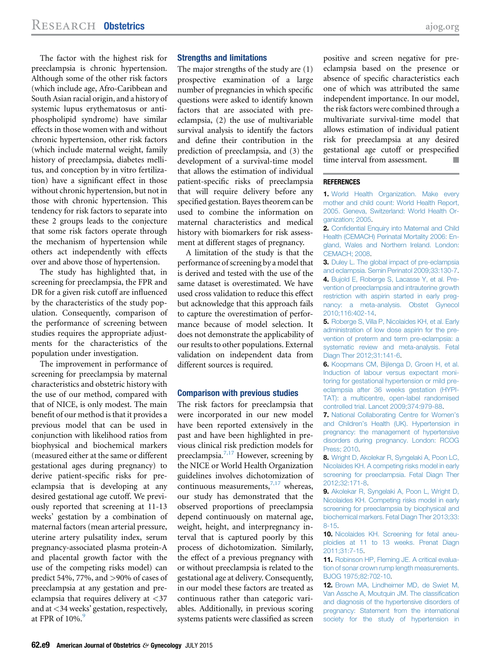<span id="page-8-0"></span>The factor with the highest risk for preeclampsia is chronic hypertension. Although some of the other risk factors (which include age, Afro-Caribbean and South Asian racial origin, and a history of systemic lupus erythematosus or antiphospholipid syndrome) have similar effects in those women with and without chronic hypertension, other risk factors (which include maternal weight, family history of preeclampsia, diabetes mellitus, and conception by in vitro fertilization) have a significant effect in those without chronic hypertension, but not in those with chronic hypertension. This tendency for risk factors to separate into these 2 groups leads to the conjecture that some risk factors operate through the mechanism of hypertension while others act independently with effects over and above those of hypertension.

The study has highlighted that, in screening for preeclampsia, the FPR and DR for a given risk cutoff are influenced by the characteristics of the study population. Consequently, comparison of the performance of screening between studies requires the appropriate adjustments for the characteristics of the population under investigation.

The improvement in performance of screening for preeclampsia by maternal characteristics and obstetric history with the use of our method, compared with that of NICE, is only modest. The main benefit of our method is that it provides a previous model that can be used in conjunction with likelihood ratios from biophysical and biochemical markers (measured either at the same or different gestational ages during pregnancy) to derive patient-specific risks for preeclampsia that is developing at any desired gestational age cutoff. We previously reported that screening at 11-13 weeks' gestation by a combination of maternal factors (mean arterial pressure, uterine artery pulsatility index, serum pregnancy-associated plasma protein-A and placental growth factor with the use of the competing risks model) can predict 54%, 77%, and >90% of cases of preeclampsia at any gestation and preeclampsia that requires delivery at <37 and at <34 weeks' gestation, respectively, at FPR of  $10\%$ .<sup>9</sup>

#### Strengths and limitations

The major strengths of the study are (1) prospective examination of a large number of pregnancies in which specific questions were asked to identify known factors that are associated with preeclampsia, (2) the use of multivariable survival analysis to identify the factors and define their contribution in the prediction of preeclampsia, and (3) the development of a survival-time model that allows the estimation of individual patient-specific risks of preeclampsia that will require delivery before any specified gestation. Bayes theorem can be used to combine the information on maternal characteristics and medical history with biomarkers for risk assessment at different stages of pregnancy.

A limitation of the study is that the performance of screening by a model that is derived and tested with the use of the same dataset is overestimated. We have used cross validation to reduce this effect but acknowledge that this approach fails to capture the overestimation of performance because of model selection. It does not demonstrate the applicability of our results to other populations. External validation on independent data from different sources is required.

#### Comparison with previous studies

The risk factors for preeclampsia that were incorporated in our new model have been reported extensively in the past and have been highlighted in previous clinical risk prediction models for preeclampsia.<sup>7,17</sup> However, screening by the NICE or World Health Organization guidelines involves dichotomization of continuous measurements, $7,17$  whereas, our study has demonstrated that the observed proportions of preeclampsia depend continuously on maternal age, weight, height, and interpregnancy interval that is captured poorly by this process of dichotomization. Similarly, the effect of a previous pregnancy with or without preeclampsia is related to the gestational age at delivery. Consequently, in our model these factors are treated as continuous rather than categoric variables. Additionally, in previous scoring systems patients were classified as screen

positive and screen negative for preeclampsia based on the presence or absence of specific characteristics each one of which was attributed the same independent importance. In our model, the risk factors were combined through a multivariate survival-time model that allows estimation of individual patient risk for preeclampsia at any desired gestational age cutoff or prespecified time interval from assessment.

#### **REFERENCES**

1. [World Health Organization. Make every](http://refhub.elsevier.com/S0002-9378(15)00154-4/sref1) [mother and child count: World Health Report,](http://refhub.elsevier.com/S0002-9378(15)00154-4/sref1) [2005. Geneva, Switzerland: World Health Or](http://refhub.elsevier.com/S0002-9378(15)00154-4/sref1)[ganization; 2005.](http://refhub.elsevier.com/S0002-9378(15)00154-4/sref1)

2. Confi[dential Enquiry into Maternal and Child](http://refhub.elsevier.com/S0002-9378(15)00154-4/sref2) [Health \(CEMACH\) Perinatal Mortality 2006: En](http://refhub.elsevier.com/S0002-9378(15)00154-4/sref2)[gland, Wales and Northern Ireland. London:](http://refhub.elsevier.com/S0002-9378(15)00154-4/sref2) [CEMACH; 2008](http://refhub.elsevier.com/S0002-9378(15)00154-4/sref2).

3. [Duley L. The global impact of pre-eclampsia](http://refhub.elsevier.com/S0002-9378(15)00154-4/sref3) [and eclampsia. Semin Perinatol 2009;33:130-7.](http://refhub.elsevier.com/S0002-9378(15)00154-4/sref3) 4. [Bujold E, Roberge S, Lacasse Y, et al. Pre](http://refhub.elsevier.com/S0002-9378(15)00154-4/sref4)[vention of preeclampsia and intrauterine growth](http://refhub.elsevier.com/S0002-9378(15)00154-4/sref4) [restriction with aspirin started in early preg](http://refhub.elsevier.com/S0002-9378(15)00154-4/sref4)[nancy: a meta-analysis. Obstet Gynecol](http://refhub.elsevier.com/S0002-9378(15)00154-4/sref4) [2010;116:402-14](http://refhub.elsevier.com/S0002-9378(15)00154-4/sref4).

5. [Roberge S, Villa P, Nicolaides KH, et al. Early](http://refhub.elsevier.com/S0002-9378(15)00154-4/sref5) [administration of low dose aspirin for the pre](http://refhub.elsevier.com/S0002-9378(15)00154-4/sref5)[vention of preterm and term pre-eclampsia: a](http://refhub.elsevier.com/S0002-9378(15)00154-4/sref5) [systematic review and meta-analysis. Fetal](http://refhub.elsevier.com/S0002-9378(15)00154-4/sref5) [Diagn Ther 2012;31:141-6.](http://refhub.elsevier.com/S0002-9378(15)00154-4/sref5)

6. [Koopmans CM, Bijlenga D, Groen H, et al.](http://refhub.elsevier.com/S0002-9378(15)00154-4/sref6) [Induction of labour versus expectant moni](http://refhub.elsevier.com/S0002-9378(15)00154-4/sref6)[toring for gestational hypertension or mild pre](http://refhub.elsevier.com/S0002-9378(15)00154-4/sref6)[eclampsia after 36 weeks gestation \(HYPI-](http://refhub.elsevier.com/S0002-9378(15)00154-4/sref6)[TAT\): a multicentre, open-label randomised](http://refhub.elsevier.com/S0002-9378(15)00154-4/sref6) [controlled trial. Lancet 2009;374:979-88](http://refhub.elsevier.com/S0002-9378(15)00154-4/sref6).

7. [National Collaborating Centre for Women](http://refhub.elsevier.com/S0002-9378(15)00154-4/sref7)'s and Children'[s Health \(UK\). Hypertension in](http://refhub.elsevier.com/S0002-9378(15)00154-4/sref7) [pregnancy: the management of hypertensive](http://refhub.elsevier.com/S0002-9378(15)00154-4/sref7) [disorders during pregnancy. London: RCOG](http://refhub.elsevier.com/S0002-9378(15)00154-4/sref7) [Press; 2010.](http://refhub.elsevier.com/S0002-9378(15)00154-4/sref7)

8. [Wright D, Akolekar R, Syngelaki A, Poon LC,](http://refhub.elsevier.com/S0002-9378(15)00154-4/sref8) [Nicolaides KH. A competing risks model in early](http://refhub.elsevier.com/S0002-9378(15)00154-4/sref8) [screening for preeclampsia. Fetal Diagn Ther](http://refhub.elsevier.com/S0002-9378(15)00154-4/sref8) [2012;32:171-8.](http://refhub.elsevier.com/S0002-9378(15)00154-4/sref8)

9. [Akolekar R, Syngelaki A, Poon L, Wright D,](http://refhub.elsevier.com/S0002-9378(15)00154-4/sref9) [Nicolaides KH. Competing risks model in early](http://refhub.elsevier.com/S0002-9378(15)00154-4/sref9) [screening for preeclampsia by biophysical and](http://refhub.elsevier.com/S0002-9378(15)00154-4/sref9) [biochemical markers. Fetal Diagn Ther 2013;33:](http://refhub.elsevier.com/S0002-9378(15)00154-4/sref9) [8-15.](http://refhub.elsevier.com/S0002-9378(15)00154-4/sref9)

10. [Nicolaides KH. Screening for fetal aneu](http://refhub.elsevier.com/S0002-9378(15)00154-4/sref10)[ploidies at 11 to 13 weeks. Prenat Diagn](http://refhub.elsevier.com/S0002-9378(15)00154-4/sref10) [2011;31:7-15](http://refhub.elsevier.com/S0002-9378(15)00154-4/sref10).

11. [Robinson HP, Fleming JE. A critical evalua](http://refhub.elsevier.com/S0002-9378(15)00154-4/sref11)[tion of sonar crown rump length measurements.](http://refhub.elsevier.com/S0002-9378(15)00154-4/sref11) [BJOG 1975;82:702-10](http://refhub.elsevier.com/S0002-9378(15)00154-4/sref11).

12. [Brown MA, Lindheimer MD, de Swiet M,](http://refhub.elsevier.com/S0002-9378(15)00154-4/sref12) [Van Assche A, Moutquin JM. The classi](http://refhub.elsevier.com/S0002-9378(15)00154-4/sref12)fication [and diagnosis of the hypertensive disorders of](http://refhub.elsevier.com/S0002-9378(15)00154-4/sref12) [pregnancy: Statement from the international](http://refhub.elsevier.com/S0002-9378(15)00154-4/sref12) [society for the study of hypertension in](http://refhub.elsevier.com/S0002-9378(15)00154-4/sref12)